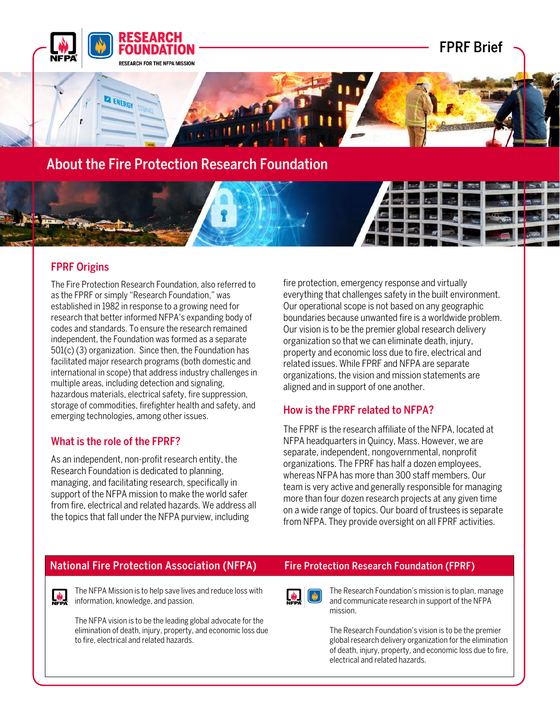

# About the Fire Protection Research Foundation

## FPRF Origins

The Fire Protection Research Foundation, also referred to as the FPRF or simply "Research Foundation," was established in 1982 in response to a growing need for research that better informed NFPA's expanding body of codes and standards. To ensure the research remained independent, the Foundation was formed as a separate 501(c) (3) organization. Since then, the Foundation has facilitated major research programs (both domestic and international in scope) that address industry challenges in multiple areas, including detection and signaling, hazardous materials, electrical safety, fire suppression, storage of commodities, firefighter health and safety, and emerging technologies, among other issues.

## What is the role of the FPRF?

As an independent, non-profit research entity, the Research Foundation is dedicated to planning, managing, and facilitating research, specifically in support of the NFPA mission to make the world safer from fire, electrical and related hazards. We address all the topics that fall under the NFPA purview, including

fire protection, emergency response and virtually everything that challenges safety in the built environment. Our operational scope is not based on any geographic boundaries because unwanted fire is a worldwide problem. Our vision is to be the premier global research delivery organization so that we can eliminate death, injury, property and economic loss due to fire, electrical and related issues. While FPRF and NFPA are separate organizations, the vision and mission statements are aligned and in support of one another.

## How is the FPRF related to NFPA?

The FPRF is the research affiliate of the NFPA, located at NFPA headquarters in Quincy, Mass. However, we are separate, independent, nongovernmental, nonprofit organizations. The FPRF has half a dozen employees, whereas NFPA has more than 300 staff members. Our team is very active and generally responsible for managing more than four dozen research projects at any given time on a wide range of topics. Our board of trustees is separate from NFPA. They provide oversight on all FPRF activities.

## National Fire Protection Association (NFPA) Fire Protection Research Foundation (FPRF)

The NFPA Mission is to help save lives and reduce loss with  $\sum_{n \in \mathbb{N}}$  information, knowledge, and passion.

> The NFPA vision is to be the leading global advocate for the elimination of death, injury, property, and economic loss due to fire, electrical and related hazards.



The Research Foundation's mission is to plan, manage and communicate research in support of the NFPA mission.

The Research Foundation's vision is to be the premier global research delivery organization for the elimination of death, injury, property, and economic loss due to fire, electrical and related hazards.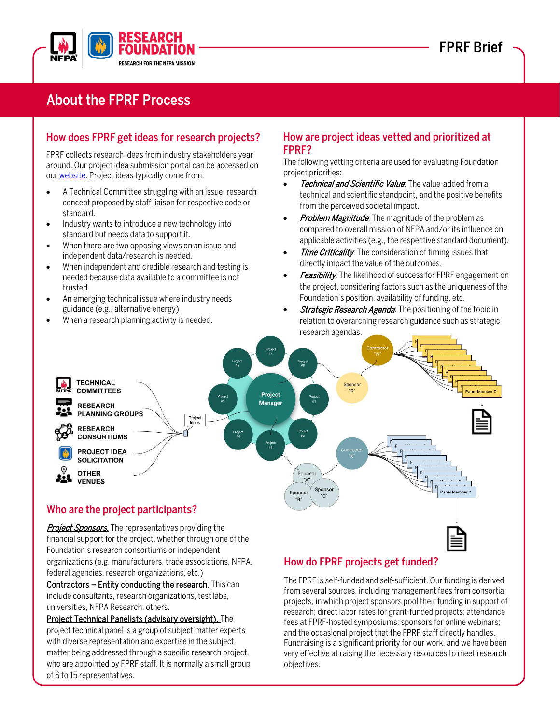

# About the FPRF Process

## How does FPRF get ideas for research projects?

FPRF collects research ideas from industry stakeholders year around. Our project idea submission portal can be accessed on ou[r website.](https://www.nfpa.org/foundation) Project ideas typically come from:

- A Technical Committee struggling with an issue; research concept proposed by staff liaison for respective code or standard.
- Industry wants to introduce a new technology into standard but needs data to support it.
- When there are two opposing views on an issue and independent data/research is needed.
- When independent and credible research and testing is needed because data available to a committee is not trusted.
- An emerging technical issue where industry needs guidance (e.g., alternative energy)
- When a research planning activity is needed.

## How are project ideas vetted and prioritized at FPRF?

The following vetting criteria are used for evaluating Foundation project priorities:

- **Technical and Scientific Value**. The value-added from a technical and scientific standpoint, and the positive benefits from the perceived societal impact.
- **Problem Magnitude**. The magnitude of the problem as compared to overall mission of NFPA and/or its influence on applicable activities (e.g., the respective standard document).
- Time Criticality. The consideration of timing issues that directly impact the value of the outcomes.
- **Feasibility**. The likelihood of success for FPRF engagement on the project, considering factors such as the uniqueness of the Foundation's position, availability of funding, etc.
- **Strategic Research Agenda**. The positioning of the topic in relation to overarching research guidance such as strategic research agendas.



Project Sponsors. The representatives providing the financial support for the project, whether through one of the Foundation's research consortiums or independent organizations (e.g. manufacturers, trade associations, NFPA, federal agencies, research organizations, etc.)

Contractors - Entity conducting the research. This can include consultants, research organizations, test labs, universities, NFPA Research, others.

Project Technical Panelists (advisory oversight). The project technical panel is a group of subject matter experts with diverse representation and expertise in the subject matter being addressed through a specific research project, who are appointed by FPRF staff. It is normally a small group of 6 to 15 representatives.

## How do FPRF projects get funded?

The FPRF is self-funded and self-sufficient. Our funding is derived from several sources, including management fees from consortia projects, in which project sponsors pool their funding in support of research; direct labor rates for grant-funded projects; attendance fees at FPRF-hosted symposiums; sponsors for online webinars; and the occasional project that the FPRF staff directly handles. Fundraising is a significant priority for our work, and we have been very effective at raising the necessary resources to meet research objectives.